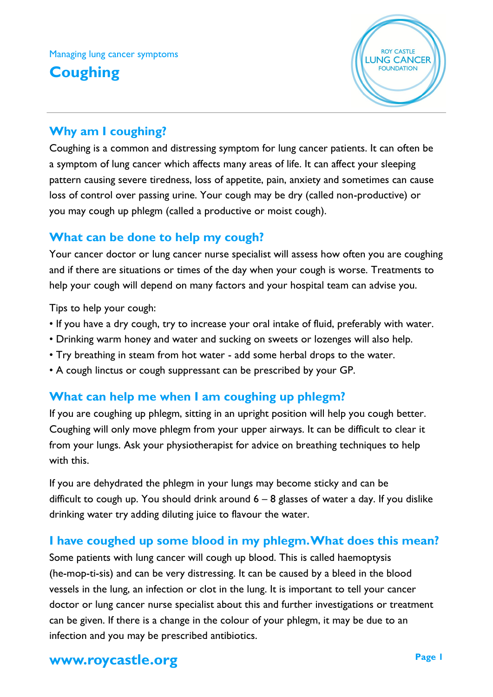## Managing lung cancer symptoms

# **Coughing**



### **Why am I coughing?**

Coughing is a common and distressing symptom for lung cancer patients. It can often be a symptom of lung cancer which affects many areas of life. It can affect your sleeping pattern causing severe tiredness, loss of appetite, pain, anxiety and sometimes can cause loss of control over passing urine. Your cough may be dry (called non-productive) or you may cough up phlegm (called a productive or moist cough).

#### **What can be done to help my cough?**

Your cancer doctor or lung cancer nurse specialist will assess how often you are coughing and if there are situations or times of the day when your cough is worse. Treatments to help your cough will depend on many factors and your hospital team can advise you.

Tips to help your cough:

- If you have a dry cough, try to increase your oral intake of fluid, preferably with water.
- Drinking warm honey and water and sucking on sweets or lozenges will also help.
- Try breathing in steam from hot water add some herbal drops to the water.
- A cough linctus or cough suppressant can be prescribed by your GP.

#### **What can help me when I am coughing up phlegm?**

If you are coughing up phlegm, sitting in an upright position will help you cough better. Coughing will only move phlegm from your upper airways. It can be difficult to clear it from your lungs. Ask your physiotherapist for advice on breathing techniques to help with this.

If you are dehydrated the phlegm in your lungs may become sticky and can be difficult to cough up. You should drink around  $6 - 8$  glasses of water a day. If you dislike drinking water try adding diluting juice to flavour the water.

#### **I have coughed up some blood in my phlegm. What does this mean?**

Some patients with lung cancer will cough up blood. This is called haemoptysis (he-mop-ti-sis) and can be very distressing. It can be caused by a bleed in the blood vessels in the lung, an infection or clot in the lung. It is important to tell your cancer doctor or lung cancer nurse specialist about this and further investigations or treatment can be given. If there is a change in the colour of your phlegm, it may be due to an infection and you may be prescribed antibiotics.

# **www.roycastle.org Page 1**